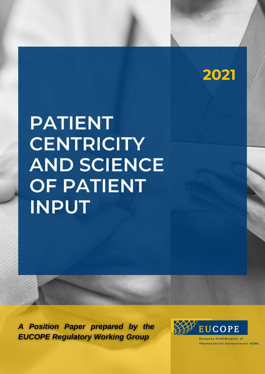

# **PATIENT CENTRICITY AND SCIENCE OF PATIENT INPUT**

A Position Paper prepared by the **EUCOPE Regulatory Working Group** 

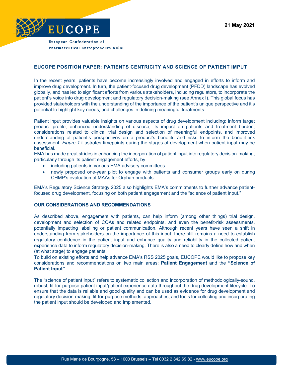

# **EUCOPE POSITION PAPER: PATIENTS CENTRICITY AND SCIENCE OF PATIENT IMPUT**

In the recent years, patients have become increasingly involved and engaged in efforts to inform and improve drug development. In turn, the patient-focused drug development (PFDD) landscape has evolved globally, and has led to significant efforts from various stakeholders, including regulators, to incorporate the patient's voice into drug development and regulatory decision-making (see Annex I). This global focus has provided stakeholders with the understanding of the importance of the patient's unique perspective and it's potential to highlight key needs, and challenges in defining meaningful treatments.

Patient input provides valuable insights on various aspects of drug development including: inform target product profile, enhanced understanding of disease, its impact on patients and treatment burden, considerations related to clinical trial design and selection of meaningful endpoints, and improved understanding of patient's perspectives on a product's benefits and risks to inform the benefit-risk assessment. *Figure 1* illustrates timepoints during the stages of development when patient input may be beneficial.

EMA has made great strides in enhancing the incorporation of patient input into regulatory decision-making, particularly through its patient engagement efforts, by

- including patients in various EMA advisory committees.
- newly proposed one-year pilot to engage with patients and consumer groups early on during CHMP's evaluation of MAAs for Orphan products.

EMA's Regulatory Science Strategy 2025 also highlights EMA's commitments to further advance patientfocused drug development, focusing on both patient engagement and the "science of patient input."

### **OUR CONSIDERATIONS AND RECOMMENDATIONS**

As described above, engagement with patients, can help inform (among other things) trial design, development and selection of COAs and related endpoints, and even the benefit-risk assessments, potentially impacting labelling or patient communication. Although recent years have seen a shift in understanding from stakeholders on the importance of this input, there still remains a need to establish regulatory confidence in the patient input and enhance quality and reliability in the collected patient experience data to inform regulatory decision-making. There is also a need to clearly define how and when (at what stage) to engage patients.

To build on existing efforts and help advance EMA's RSS 2025 goals, EUCOPE would like to propose key considerations and recommendations on two main areas: **Patient Engagement** and the **"Science of Patient Input"**.

The "science of patient input" refers to systematic collection and incorporation of methodologically-sound, robust, fit-for-purpose patient input/patient experience data throughout the drug development lifecycle. To ensure that the data is reliable and good quality and can be used as evidence for drug development and regulatory decision-making, fit-for-purpose methods, approaches, and tools for collecting and incorporating the patient input should be developed and implemented.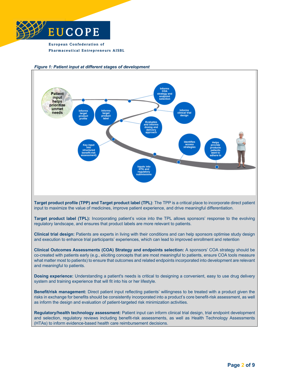



#### *Figure 1: Patient input at different stages of development*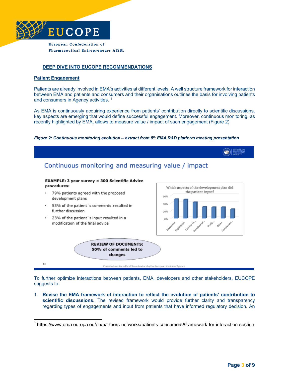

# **DEEP DIVE INTO EUCOPE RECOMMENDATIONS**

#### **Patient Engagement**

Patients are already involved in EMA's activities at different levels. A well structure framework for interaction between EMA and patients and consumers and their organisations outlines the basis for involving patients and consumers in Agency activities. 1

As EMA is continuously acquiring experience from patients' contribution directly to scientific discussions, key aspects are emerging that would define successful engagement. Moreover, continuous monitoring, as recently highlighted by EMA, allows to measure value / impact of such engagement (Figure 2)

#### *Figure 2: Continuous monitoring evolution – extract from 5th EMA R&D platform meeting presentation*



To further optimize interactions between patients, EMA, developers and other stakeholders, EUCOPE suggests to:

1. **Revise the EMA framework of interaction to reflect the evolution of patients' contribution to scientific discussions.** The revised framework would provide further clarity and transparency regarding types of engagements and input from patients that have informed regulatory decision. An

<sup>1</sup> https://www.ema.europa.eu/en/partners-networks/patients-consumers#framework-for-interaction-section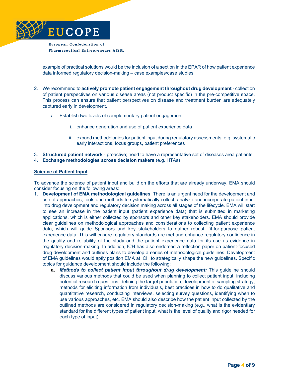

example of practical solutions would be the inclusion of a section in the EPAR of how patient experience data informed regulatory decision-making – case examples/case studies

- 2. We recommend to **actively promote patient engagement throughout drug development** collection of patient perspectives on various disease areas (not product specific) in the pre-competitive space. This process can ensure that patient perspectives on disease and treatment burden are adequately captured early in development.
	- a. Establish two levels of complementary patient engagement:
		- i. enhance generation and use of patient experience data
		- ii. expand methodologies for patient input during regulatory assessments, e.g. systematic early interactions, focus groups, patient preferences
- 3. **Structured patient network** proactive; need to have a representative set of diseases area patients
- 4. **Exchange methodologies across decision makers** (e.g. HTAs)

#### **Science of Patient Input**

To advance the science of patient input and build on the efforts that are already underway, EMA should consider focusing on the following areas:

- 1. **Development of EMA methodological guidelines**: There is an urgent need for the development and use of approaches, tools and methods to systematically collect, analyze and incorporate patient input into drug development and regulatory decision making across all stages of the lifecycle. EMA will start to see an increase in the patient input (patient experience data) that is submitted in marketing applications, which is either collected by sponsors and other key stakeholders. EMA should provide clear guidelines on methodological approaches and considerations to collecting patient experience data, which will guide Sponsors and key stakeholders to gather robust, fit-for-purpose patient experience data. This will ensure regulatory standards are met and enhance regulatory confidence in the quality and reliability of the study and the patient experience data for its use as evidence in regulatory decision-making. In addition, ICH has also endorsed a reflection paper on patient-focused drug development and outlines plans to develop a series of methodological guidelines. Development of EMA guidelines would aptly position EMA at ICH to strategically shape the new guidelines. Specific topics for guidance development should include the following:
	- **a.** *Methods to collect patient input throughout drug development:* This guideline should discuss various methods that could be used when planning to collect patient input, including potential research questions, defining the target population, development of sampling strategy, methods for eliciting information from individuals, best practices in how to do qualitative and quantitative research, conducting interviews, selecting survey questions, identifying when to use various approaches, etc. EMA should also describe how the patient input collected by the outlined methods are considered in regulatory decision-making (e.g., what is the evidentiary standard for the different types of patient input, what is the level of quality and rigor needed for each type of input).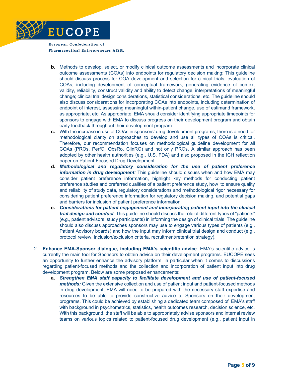

- **b.** Methods to develop, select, or modify clinical outcome assessments and incorporate clinical outcome assessments (COAs) into endpoints for regulatory decision making: This guideline should discuss process for COA development and selection for clinical trials, evaluation of COAs, including development of conceptual framework, generating evidence of context validity, reliability, construct validity and ability to detect change, interpretations of meaningful change; clinical trial design considerations, statistical considerations, etc. The guideline should also discuss considerations for incorporating COAs into endpoints, including determination of endpoint of interest, assessing meaningful within-patient change, use of estimand framework, as appropriate, etc. As appropriate, EMA should consider identifying appropriate timepoints for sponsors to engage with EMA to discuss progress on their development program and obtain early feedback throughout their development program.
- **c.** With the increase in use of COAs in sponsors' drug development programs, there is a need for methodological clarity on approaches to develop and use all types of COAs is critical. Therefore, our recommendation focuses on methodological guideline development for all COAs (PROs, PerfO, ObsRo, ClinRO) and not only PROs. A similar approach has been adopted by other health authorities (e.g., U.S. FDA) and also proposed in the ICH reflection paper on Patient-Focused Drug Development.
- **d.** *Methodological and regulatory consideration for the use of patient preference information in drug development:* This guideline should discuss when and how EMA may consider patient preference information, highlight key methods for conducting patient preference studies and preferred qualities of a patient preference study, how to ensure quality and reliability of study data, regulatory considerations and methodological rigor necessary for considering patient preference information for regulatory decision making, and potential gaps and barriers for inclusion of patient preference information.
- **e.** *Considerations for patient engagement and incorporating patient input into the clinical trial design and conduct*: This guideline should discuss the role of different types of "patients" (e.g., patient advisors, study participants) in informing the design of clinical trials. The guideline should also discuss approaches sponsors may use to engage various types of patients (e.g., Patient Advisory boards) and how the input may inform clinical trial design and conduct (e.g., protocol review, inclusion/exclusion criteria, recruitment/retention strategy).
- 2. **Enhance EMA-Sponsor dialogue, including EMA's scientific advice**: EMA's scientific advice is currently the main tool for Sponsors to obtain advice on their development programs. EUCOPE sees an opportunity to further enhance the advisory platform, in particular when it comes to discussions regarding patient-focused methods and the collection and incorporation of patient input into drug development program. Below are some proposed enhancements:
	- **a.** *Strengthen EMA staff capacity to facilitate development and use of patient-focused methods:* Given the extensive collection and use of patient input and patient-focused methods in drug development, EMA will need to be prepared with the necessary staff expertise and resources to be able to provide constructive advice to Sponsors on their development programs. This could be achieved by establishing a dedicated team composed of EMA's staff with background in psychometrics, statistics, health outcomes research, decision science, etc. With this background, the staff will be able to appropriately advise sponsors and internal review teams on various topics related to patient-focused drug development (e.g., patient input in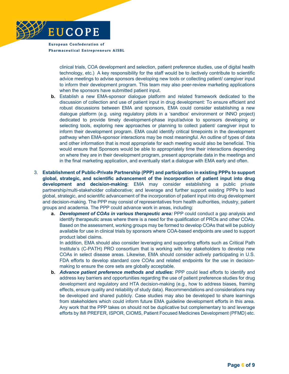

> clinical trials, COA development and selection, patient preference studies, use of digital health technology, etc.) A key responsibility for the staff would be to /actively contribute to scientific advice meetings to advise sponsors developing new tools or collecting patient/ caregiver input to inform their development program. This team may also peer-review marketing applications when the sponsors have submitted patient input.

- **b.** Establish a new EMA-sponsor dialogue platform and related framework dedicated to the discussion of collection and use of patient input in drug development: To ensure efficient and robust discussions between EMA and sponsors, EMA could consider establishing a new dialogue platform (e.g. using regulatory pilots in a 'sandbox' environment or INNO project) dedicated to provide timely development-phase input/advice to sponsors developing or selecting tools, exploring new approaches or planning to collect patient/ caregiver input to inform their development program. EMA could identify critical timepoints in the development pathway when EMA-sponsor interactions may be most meaningful. An outline of types of data and other information that is most appropriate for each meeting would also be beneficial. This would ensure that Sponsors would be able to appropriately time their interactions depending on where they are in their development program, present appropriate data in the meetings and in the final marketing application, and eventually start a dialogue with EMA early and often.
- 3. **Establishment of Public-Private Partnership (PPP) and participation in existing PPPs to support global, strategic, and scientific advancement of the incorporation of patient input into drug development and decision-making**: EMA may consider establishing a public private partnership/multi-stakeholder collaborative; and leverage and further support existing PPPs to lead global, strategic, and scientific advancement of the incorporation of patient input into drug development and decision-making. The PPP may consist of representatives from health authorities, industry, patient groups and academia. The PPP could advance work in areas, including:
	- **a.** *Development of COAs in various therapeutic area:* PPP could conduct a gap analysis and identify therapeutic areas where there is a need for the qualification of PROs and other COAs. Based on the assessment, working groups may be formed to develop COAs that will be publicly available for use in clinical trials by sponsors where COA-based endpoints are used to support product label claims.

In addition, EMA should also consider leveraging and supporting efforts such as Critical Path Institute's (C-PATH) PRO consortium that is working with key stakeholders to develop new COAs in select disease areas. Likewise, EMA should consider actively participating in U.S. FDA efforts to develop standard core COAs and related endpoints for the use in decisionmaking to ensure the core sets are globally acceptable.

**b.** *Advance patient preference methods and studies***:** PPP could lead efforts to identify and address key barriers and opportunities regarding the use of patient preference studies for drug development and regulatory and HTA decision-making (e.g., how to address biases, framing effects, ensure quality and reliability of study data). Recommendations and considerations may be developed and shared publicly. Case studies may also be developed to share learnings from stakeholders which could inform future EMA guideline development efforts in this area. Any work that the PPP takes on should not be duplicative but complementary to and leverage efforts by IMI PREFER, ISPOR, CIOMS, Patient Focused Medicines Development (PFMD) etc.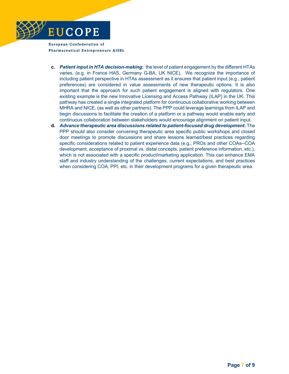

- **c.** *Patient input in HTA decision-making***:** the level of patient engagement by the different HTAs varies, (e.g. in France HAS, Germany G-BA, UK NICE). We recognize the importance of including patient perspective in HTAs assessment as it ensures that patient input (e.g., patient preferences) are considered in value assessments of new therapeutic options. It is also important that the approach for such patient engagement is aligned with regulators. One existing example is the new Innovative Licensing and Access Pathway (ILAP) in the UK. This pathway has created a single integrated platform for continuous collaborative working between MHRA and NICE, (as well as other partners). The PPP could leverage learnings from ILAP and begin discussions to facilitate the creation of a platform or a pathway would enable early and continuous collaboration between stakeholders would encourage alignment on patient input.
- **d.** *Advance therapeutic area discussions related to patient-focused drug development***:** The PPP should also consider convening therapeutic area specific public workshops and closed door meetings to promote discussions and share lessons learned/best practices regarding specific considerations related to patient experience data (e.g., PROs and other COAs--COA development, acceptance of proximal vs. distal concepts, patient preference information, etc.), which is not associated with a specific product/marketing application. This can enhance EMA staff and industry understanding of the challenges, current expectations, and best practices when considering COA, PPI, etc. in their development programs for a given therapeutic area.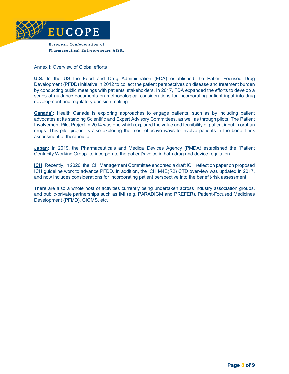

**Pharmaceutical Entrepreneurs AISBL** 

#### Annex I: Overview of Global efforts

**U.S:** In the US the Food and Drug Administration (FDA) established the Patient-Focused Drug Development (PFDD) initiative in 2012 to collect the patient perspectives on disease and treatment burden by conducting public meetings with patients' stakeholders. In 2017, FDA expanded the efforts to develop a series of guidance documents on methodological considerations for incorporating patient input into drug development and regulatory decision making.

**Canada1:** Health Canada is exploring approaches to engage patients, such as by including patient advocates at its standing Scientific and Expert Advisory Committees, as well as through pilots. The Patient Involvement Pilot Project in 2014 was one which explored the value and feasibility of patient input in orphan drugs. This pilot project is also exploring the most effective ways to involve patients in the benefit-risk assessment of therapeutic.

**Japan:** In 2019, the Pharmaceuticals and Medical Devices Agency (PMDA) established the "Patient Centricity Working Group" to incorporate the patient's voice in both drug and device regulation.

**ICH:** Recently, in 2020, the ICH Management Committee endorsed a draft ICH reflection paper on proposed ICH guideline work to advance PFDD. In addition, the ICH M4E(R2) CTD overview was updated in 2017, and now includes considerations for incorporating patient perspective into the benefit-risk assessment.

There are also a whole host of activities currently being undertaken across industry association groups, and public-private partnerships such as IMI (e.g. PARADIGM and PREFER), Patient-Focused Medicines Development (PFMD), CIOMS, etc.